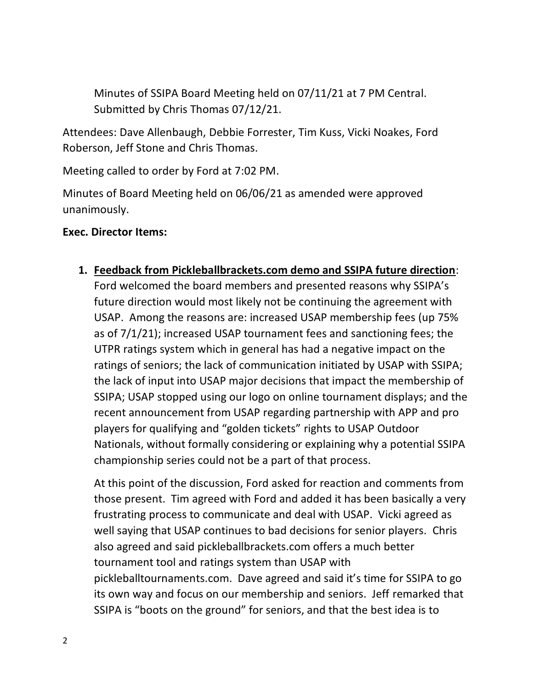Minutes of SSIPA Board Meeting held on 07/11/21 at 7 PM Central. Submitted by Chris Thomas 07/12/21.

Attendees: Dave Allenbaugh, Debbie Forrester, Tim Kuss, Vicki Noakes, Ford Roberson, Jeff Stone and Chris Thomas.

Meeting called to order by Ford at 7:02 PM.

Minutes of Board Meeting held on 06/06/21 as amended were approved unanimously.

## **Exec. Director Items:**

**1. Feedback from Pickleballbrackets.com demo and SSIPA future direction**:

Ford welcomed the board members and presented reasons why SSIPA's future direction would most likely not be continuing the agreement with USAP. Among the reasons are: increased USAP membership fees (up 75% as of 7/1/21); increased USAP tournament fees and sanctioning fees; the UTPR ratings system which in general has had a negative impact on the ratings of seniors; the lack of communication initiated by USAP with SSIPA; the lack of input into USAP major decisions that impact the membership of SSIPA; USAP stopped using our logo on online tournament displays; and the recent announcement from USAP regarding partnership with APP and pro players for qualifying and "golden tickets" rights to USAP Outdoor Nationals, without formally considering or explaining why a potential SSIPA championship series could not be a part of that process.

At this point of the discussion, Ford asked for reaction and comments from those present. Tim agreed with Ford and added it has been basically a very frustrating process to communicate and deal with USAP. Vicki agreed as well saying that USAP continues to bad decisions for senior players. Chris also agreed and said pickleballbrackets.com offers a much better tournament tool and ratings system than USAP with pickleballtournaments.com. Dave agreed and said it's time for SSIPA to go its own way and focus on our membership and seniors. Jeff remarked that SSIPA is "boots on the ground" for seniors, and that the best idea is to